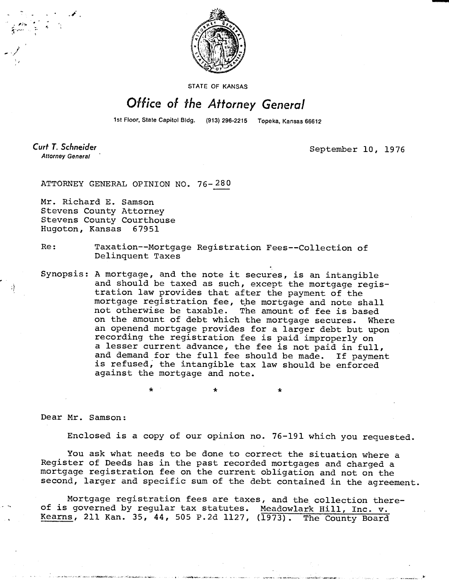

STATE OF KANSAS

## Office of the Attorney General

1st Floor, State Capitol Bldg. (913) 296-2215 Topeka, Kansas 66612

Curt T. Schneider **Attorney General** 

September 10, 1976

ATTORNEY GENERAL OPINION NO. 76-280

Mr. Richard E. Samson Stevens County Attorney Stevens County Courthouse Hugoton, Kansas 67951

Re: Taxation--Mortgage Registration Fees--Collection of Delinquent Taxes

Synopsis: A mortgage, and the note it secures, is an intangible and should be taxed as such, except the mortgage registration law provides that after the payment of the mortgage registration fee, the mortgage and note shall not otherwise be taxable. The amount of fee is based on the amount of debt which the mortgage secures. Where an openend mortgage provides for a larger debt but upon recording the registration fee is paid improperly on a lesser current advance, the fee is not paid in full, and demand for the full fee should be made. If payment is refused; the intangible tax law should be enforced against the mortgage and note.

Dear Mr. Samson:

Enclosed is a copy of our opinion no. 76-191 which you requested.

\*

You ask what needs to be done to correct the situation where a Register of Deeds has in the past recorded mortgages and charged a mortgage registration fee on the current obligation and not on the second, larger and specific sum of the debt contained in the agreement.

Mortgage registration fees are taxes, and the collection thereof is governed by regular tax statutes. Meadowlark Hill, Inc. v. Kearns, 211 Kan. 35, 44, 505 P.2d 1127, (1973). The County Board